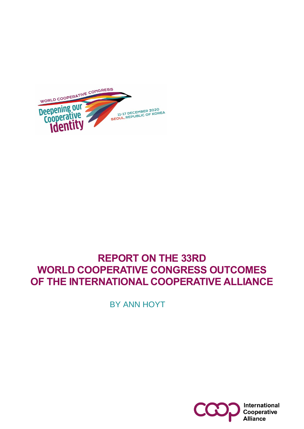

BY ANN HOYT

# **REPORT ON THE 33RD WORLD COOPERATIVE CONGRESS OUTCOMES OF THE INTERNATIONAL COOPERATIVE ALLIANCE**

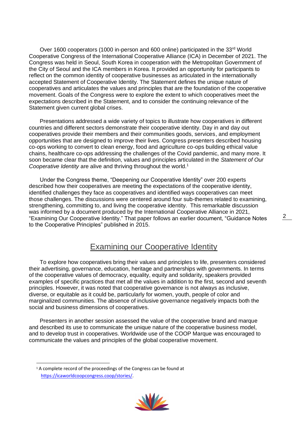Over 1600 cooperators (1000 in-person and 600 online) participated in the 33rd World Cooperative Congress of the International Cooperative Alliance (ICA) in December of 2021. The Congress was held in Seoul, South Korea in cooperation with the Metropolitan Government of the City of Seoul and the ICA members in Korea. It provided an opportunity for participants to reflect on the common identity of cooperative businesses as articulated in the internationally accepted Statement of Cooperative Identity. The Statement defines the unique nature of cooperatives and articulates the values and principles that are the foundation of the cooperative movement. Goals of the Congress were to explore the extent to which cooperatives meet the expectations described in the Statement, and to consider the continuing relevance of the Statement given current global crises.

Presentations addressed a wide variety of topics to illustrate how cooperatives in different countries and different sectors demonstrate their cooperative identity. Day in and day out cooperatives provide their members and their communities goods, services, and employment opportunities that are designed to improve their lives. Congress presenters described housing co-ops working to convert to clean energy, food and agriculture co-ops building ethical value chains, healthcare co-ops addressing the challenges of the Covid pandemic, and many more. It soon became clear that the definition, values and principles articulated in the *Statement of Our Cooperative Identity* are alive and thriving throughout the world.<sup>1</sup>

Under the Congress theme, "Deepening our Cooperative Identity" over 200 experts described how their cooperatives are meeting the expectations of the cooperative identity, identified challenges they face as cooperatives and identified ways cooperatives can meet those challenges. The discussions were centered around four sub-themes related to examining, strengthening, committing to, and living the cooperative identity. This remarkable discussion was informed by a document produced by the International Cooperative Alliance in 2021, "Examining Our Cooperative Identity." That paper follows an earlier document, "Guidance Notes to the Cooperative Principles" published in 2015.

# Examining our Cooperative Identity

To explore how cooperatives bring their values and principles to life, presenters considered their advertising, governance, education, heritage and partnerships with governments. In terms of the cooperative values of democracy, equality, equity and solidarity, speakers provided examples of specific practices that met all the values in addition to the first, second and seventh principles. However, it was noted that cooperative governance is not always as inclusive, diverse, or equitable as it could be, particularly for women, youth, people of color and marginalized communities. The absence of inclusive governance negatively impacts both the social and business dimensions of cooperatives.

Presenters in another session assessed the value of the cooperative brand and marque and described its use to communicate the unique nature of the cooperative business model, and to develop trust in cooperatives. Worldwide use of the COOP Marque was encouraged to communicate the values and principles of the global cooperative movement.

<sup>&</sup>lt;sup>1</sup> A complete record of the proceedings of the Congress can be found at [https://icaworldcoopcongress.coop/stories/.](https://icaworldcoopcongress.coop/stories/)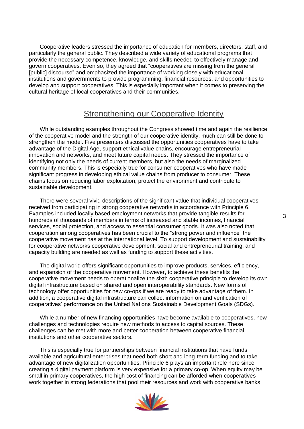Cooperative leaders stressed the importance of education for members, directors, staff, and particularly the general public. They described a wide variety of educational programs that provide the necessary competence, knowledge, and skills needed to effectively manage and govern cooperatives. Even so, they agreed that "cooperatives are missing from the general [public] discourse" and emphasized the importance of working closely with educational institutions and governments to provide programming, financial resources, and opportunities to develop and support cooperatives. This is especially important when it comes to preserving the cultural heritage of local cooperatives and their communities.

# Strengthening our Cooperative Identity

While outstanding examples throughout the Congress showed time and again the resilience of the cooperative model and the strength of our cooperative identity, much can still be done to strengthen the model. Five presenters discussed the opportunities cooperatives have to take advantage of the Digital Age, support ethical value chains, encourage entrepreneurial innovation and networks, and meet future capital needs. They stressed the importance of identifying not only the needs of current members, but also the needs of marginalized community members. This is especially true for consumer cooperatives who have made significant progress in developing ethical value chains from producer to consumer. These chains focus on reducing labor exploitation, protect the environment and contribute to sustainable development.

There were several vivid descriptions of the significant value that individual cooperatives received from participating in strong cooperative networks in accordance with Principle 6. Examples included locally based employment networks that provide tangible results for hundreds of thousands of members in terms of increased and stable incomes, financial services, social protection, and access to essential consumer goods. It was also noted that cooperation among cooperatives has been crucial to the "strong power and influence" the cooperative movement has at the international level. To support development and sustainability for cooperative networks cooperative development, social and entrepreneurial training, and capacity building are needed as well as funding to support these activities.

The digital world offers significant opportunities to improve products, services, efficiency, and expansion of the cooperative movement. However, to achieve these benefits the cooperative movement needs to operationalize the sixth cooperative principle to develop its own digital infrastructure based on shared and open interoperability standards. New forms of technology offer opportunities for new co-ops if we are ready to take advantage of them. In addition, a cooperative digital infrastructure can collect information on and verification of cooperatives' performance on the United Nations Sustainable Development Goals (SDGs).

While a number of new financing opportunities have become available to cooperatives, new challenges and technologies require new methods to access to capital sources. These challenges can be met with more and better cooperation between cooperative financial institutions and other cooperative sectors.

This is especially true for partnerships between financial institutions that have funds available and agricultural enterprises that need both short and long-term funding and to take advantage of new digitalization opportunities. Principle 6 plays an important role here since creating a digital payment platform is very expensive for a primary co-op. When equity may be small in primary cooperatives, the high cost of financing can be afforded when cooperatives work together in strong federations that pool their resources and work with cooperative banks

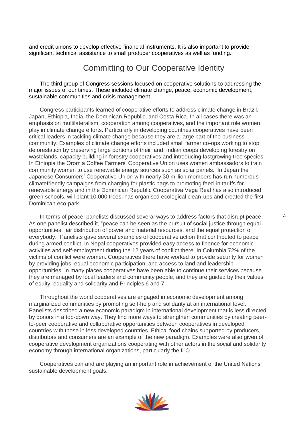and credit unions to develop effective financial instruments. It is also important to provide significant technical assistance to small producer cooperatives as well as funding.

# Committing to Our Cooperative Identity

The third group of Congress sessions focused on cooperative solutions to addressing the major issues of our times. These included climate change, peace, economic development, sustainable communities and crisis management.

Congress participants learned of cooperative efforts to address climate change in Brazil, Japan, Ethiopia, India, the Dominican Republic, and Costa Rica. In all cases there was an emphasis on multilateralism, cooperation among cooperatives, and the important role women play in climate change efforts. Particularly in developing countries cooperatives have been critical leaders in tackling climate change because they are a large part of the business community. Examples of climate change efforts included small farmer co-ops working to stop deforestation by preserving large portions of their land; Indian coops developing forestry on wastelands, capacity building in forestry cooperatives and introducing fastgrowing tree species. In Ethiopia the Oromia Coffee Farmers' Cooperative Union uses women ambassadors to train community women to use renewable energy sources such as solar panels. In Japan the Japanese Consumers' Cooperative Union with nearly 30 million members has run numerous climatefriendly campaigns from charging for plastic bags to promoting feed-in tariffs for renewable energy and in the Dominican Republic Cooperativa Vega Real has also introduced green schools, will plant 10,000 trees, has organised ecological clean-ups and created the first Dominican eco-park.

In terms of peace, panelists discussed several ways to address factors that disrupt peace. As one panelist described it, "peace can be seen as the pursuit of social justice through equal opportunities, fair distribution of power and material resources, and the equal protection of everybody." Panelists gave several examples of cooperative action that contributed to peace during armed conflict. In Nepal cooperatives provided easy access to finance for economic activities and self-employment during the 12 years of conflict there. In Columbia 72% of the victims of conflict were women. Cooperatives there have worked to provide security for women by providing jobs, equal economic participation, and access to land and leadership opportunities. In many places cooperatives have been able to continue their services because they are managed by local leaders and community people, and they are guided by their values of equity, equality and solidarity and Principles 6 and 7.

Throughout the world cooperatives are engaged in economic development among marginalized communities by promoting self-help and solidarity at an international level. Panelists described a new economic paradigm in international development that is less directed by donors in a top-down way. They find more ways to strengthen communities by creating peerto-peer cooperative and collaborative opportunities between cooperatives in developed countries with those in less developed countries. Ethical food chains supported by producers, distributors and consumers are an example of the new paradigm. Examples were also given of cooperative development organizations cooperating with other actors in the social and solidarity economy through international organizations, particularly the ILO.

Cooperatives can and are playing an important role in achievement of the United Nations' sustainable development goals.

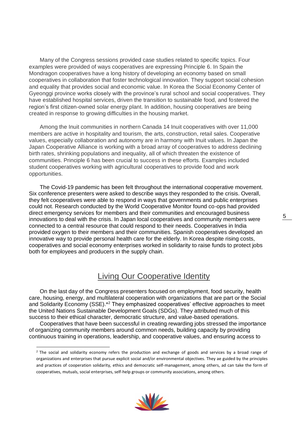Many of the Congress sessions provided case studies related to specific topics. Four examples were provided of ways cooperatives are expressing Principle 6. In Spain the Mondragon cooperatives have a long history of developing an economy based on small cooperatives in collaboration that foster technological innovation. They support social cohesion and equality that provides social and economic value. In Korea the Social Economy Center of Gyeonggi province works closely with the province's rural school and social cooperatives. They have established hospital services, driven the transition to sustainable food, and fostered the region's first citizen-owned solar energy plant. In addition, housing cooperatives are being created in response to growing difficulties in the housing market.

Among the Inuit communities in northern Canada 14 Inuit cooperatives with over 11,000 members are active in hospitality and tourism, the arts, construction, retail sales. Cooperative values, especially collaboration and autonomy are in harmony with Inuit values. In Japan the Japan Cooperative Alliance is working with a broad array of cooperatives to address declining birth rates, shrinking populations and inequality, all of which threaten the existence of communities. Principle 6 has been crucial to success in these efforts. Examples included student cooperatives working with agricultural cooperatives to provide food and work opportunities.

The Covid-19 pandemic has been felt throughout the international cooperative movement. Six conference presenters were asked to describe ways they responded to the crisis. Overall, they felt cooperatives were able to respond in ways that governments and public enterprises could not. Research conducted by the World Cooperative Monitor found co-ops had provided direct emergency services for members and their communities and encouraged business innovations to deal with the crisis. In Japan local cooperatives and community members were connected to a central resource that could respond to their needs. Cooperatives in India provided oxygen to their members and their communities. Spanish cooperatives developed an innovative way to provide personal health care for the elderly. In Korea despite rising costs, cooperatives and social economy enterprises worked in solidarity to raise funds to protect jobs both for employees and producers in the supply chain.

# Living Our Cooperative Identity

On the last day of the Congress presenters focused on employment, food security, health care, housing, energy, and multilateral cooperation with organizations that are part or the Social and Solidarity Economy (SSE).\*<sup>2</sup> They emphasized cooperatives' effective approaches to meet the United Nations Sustainable Development Goals (SDGs). They attributed much of this success to their ethical character, democratic structure, and value-based operations.

Cooperatives that have been successful in creating rewarding jobs stressed the importance of organizing community members around common needs, building capacity by providing continuous training in operations, leadership, and cooperative values, and ensuring access to

<sup>&</sup>lt;sup>2</sup> The social and solidarity economy refers the production and exchange of goods and services by a broad range of organizations and enterprises that pursue explicit social and/or environmental objectives. They ae guided by the principles and practices of cooperation solidarity, ethics and democratic self-management, among others, ad can take the form of cooperatives, mutuals, social enterprises, self-help groups or community associations, among others.

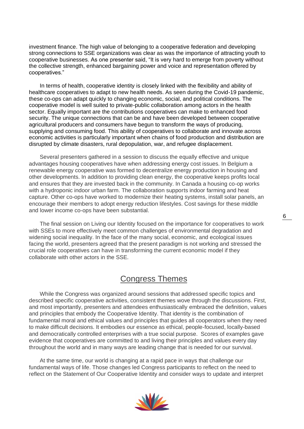investment finance. The high value of belonging to a cooperative federation and developing strong connections to SSE organizations was clear as was the importance of attracting youth to cooperative businesses. As one presenter said, "It is very hard to emerge from poverty without the collective strength, enhanced bargaining power and voice and representation offered by cooperatives."

In terms of health, cooperative identity is closely linked with the flexibility and ability of healthcare cooperatives to adapt to new health needs. As seen during the Covid-19 pandemic, these co-ops can adapt quickly to changing economic, social, and political conditions. The cooperative model is well suited to private-public collaboration among actors in the health sector. Equally important are the contributions cooperatives can make to enhanced food security. The unique connections that can be and have been developed between cooperative agricultural producers and consumers have begun to transform the ways of producing, supplying and consuming food. This ability of cooperatives to collaborate and innovate across economic activities is particularly important when chains of food production and distribution are disrupted by climate disasters, rural depopulation, war, and refugee displacement.

Several presenters gathered in a session to discuss the equally effective and unique advantages housing cooperatives have when addressing energy cost issues. In Belgium a renewable energy cooperative was formed to decentralize energy production in housing and other developments. In addition to providing clean energy, the cooperative keeps profits local and ensures that they are invested back in the community. In Canada a housing co-op works with a hydroponic indoor urban farm. The collaboration supports indoor farming and heat capture. Other co-ops have worked to modernize their heating systems, install solar panels, an encourage their members to adopt energy reduction lifestyles. Cost savings for these middle and lower income co-ops have been substantial.

The final session on Living our Identity focused on the importance for cooperatives to work with SSEs to more effectively meet common challenges of environmental degradation and widening social inequality. In the face of the many social, economic, and ecological issues facing the world, presenters agreed that the present paradigm is not working and stressed the crucial role cooperatives can have in transforming the current economic model if they collaborate with other actors in the SSE.

# Congress Themes

While the Congress was organized around sessions that addressed specific topics and described specific cooperative activities, consistent themes wove through the discussions. First, and most importantly, presenters and attendees enthusiastically embraced the definition, values and principles that embody the Cooperative Identity. That identity is the combination of fundamental moral and ethical values and principles that guides all cooperators when they need to make difficult decisions. It embodies our essence as ethical, people-focused, locally-based and democratically controlled enterprises with a true social purpose. Scores of examples gave evidence that cooperatives are committed to and living their principles and values every day throughout the world and in many ways are leading change that is needed for our survival.

At the same time, our world is changing at a rapid pace in ways that challenge our fundamental ways of life. Those changes led Congress participants to reflect on the need to reflect on the Statement of Our Cooperative Identity and consider ways to update and interpret

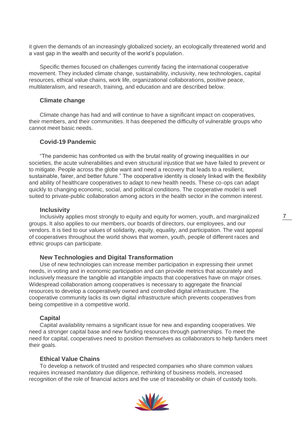it given the demands of an increasingly globalized society, an ecologically threatened world and a vast gap in the wealth and security of the world's population.

Specific themes focused on challenges currently facing the international cooperative movement. They included climate change, sustainability, inclusivity, new technologies, capital resources, ethical value chains, work life, organizational collaborations, positive peace, multilateralism, and research, training, and education and are described below.

### **Climate change**

Climate change has had and will continue to have a significant impact on cooperatives, their members, and their communities. It has deepened the difficulty of vulnerable groups who cannot meet basic needs.

# **Covid-19 Pandemic**

"The pandemic has confronted us with the brutal reality of growing inequalities in our societies, the acute vulnerabilities and even structural injustice that we have failed to prevent or to mitigate. People across the globe want and need a recovery that leads to a resilient, sustainable, fairer, and better future." The cooperative identity is closely linked with the flexibility and ability of healthcare cooperatives to adapt to new health needs. These co-ops can adapt quickly to changing economic, social, and political conditions. The cooperative model is well suited to private-public collaboration among actors in the health sector in the common interest.

#### **Inclusivity**

Inclusivity applies most strongly to equity and equity for women, youth, and marginalized groups. It also applies to our members, our boards of directors, our employees, and our vendors. It is tied to our values of solidarity, equity, equality, and participation. The vast appeal of cooperatives throughout the world shows that women, youth, people of different races and ethnic groups can participate.

#### **New Technologies and Digital Transformation**

Use of new technologies can increase member participation in expressing their unmet needs, in voting and in economic participation and can provide metrics that accurately and inclusively measure the tangible ad intangible impacts that cooperatives have on major crises. Widespread collaboration among cooperatives is necessary to aggregate the financial resources to develop a cooperatively owned and controlled digital infrastructure. The cooperative community lacks its own digital infrastructure which prevents cooperatives from being competitive in a competitive world.

#### **Capital**

Capital availability remains a significant issue for new and expanding cooperatives. We need a stronger capital base and new funding resources through partnerships. To meet the need for capital, cooperatives need to position themselves as collaborators to help funders meet their goals.

# **Ethical Value Chains**

To develop a network of trusted and respected companies who share common values requires increased mandatory due diligence, rethinking of business models, increased recognition of the role of financial actors and the use of traceability or chain of custody tools.

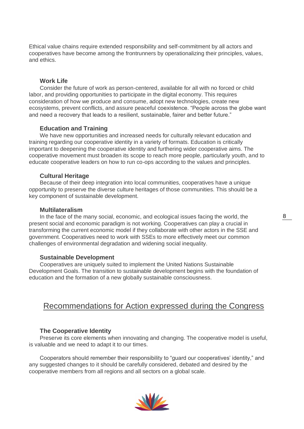Ethical value chains require extended responsibility and self-commitment by all actors and cooperatives have become among the frontrunners by operationalizing their principles, values, and ethics.

# **Work Life**

Consider the future of work as person-centered, available for all with no forced or child labor, and providing opportunities to participate in the digital economy. This requires consideration of how we produce and consume, adopt new technologies, create new ecosystems, prevent conflicts, and assure peaceful coexistence. "People across the globe want and need a recovery that leads to a resilient, sustainable, fairer and better future."

# **Education and Training**

We have new opportunities and increased needs for culturally relevant education and training regarding our cooperative identity in a variety of formats. Education is critically important to deepening the cooperative identity and furthering wider cooperative aims. The cooperative movement must broaden its scope to reach more people, particularly youth, and to educate cooperative leaders on how to run co-ops according to the values and principles.

#### **Cultural Heritage**

Because of their deep integration into local communities, cooperatives have a unique opportunity to preserve the diverse culture heritages of those communities. This should be a key component of sustainable development.

# **Multilateralism**

In the face of the many social, economic, and ecological issues facing the world, the present social and economic paradigm is not working. Cooperatives can play a crucial in transforming the current economic model if they collaborate with other actors in the SSE and government. Cooperatives need to work with SSEs to more effectively meet our common challenges of environmental degradation and widening social inequality.

#### **Sustainable Development**

Cooperatives are uniquely suited to implement the United Nations Sustainable Development Goals. The transition to sustainable development begins with the foundation of education and the formation of a new globally sustainable consciousness.

# Recommendations for Action expressed during the Congress

#### **The Cooperative Identity**

Preserve its core elements when innovating and changing. The cooperative model is useful, is valuable and we need to adapt it to our times.

Cooperators should remember their responsibility to "guard our cooperatives' identity," and any suggested changes to it should be carefully considered, debated and desired by the cooperative members from all regions and all sectors on a global scale.

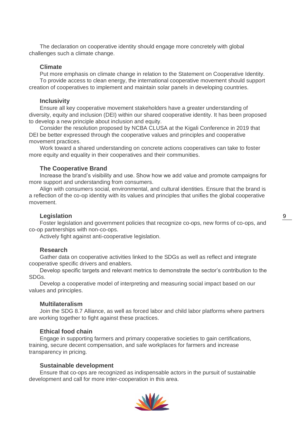The declaration on cooperative identity should engage more concretely with global challenges such a climate change.

#### **Climate**

Put more emphasis on climate change in relation to the Statement on Cooperative Identity. To provide access to clean energy, the international cooperative movement should support creation of cooperatives to implement and maintain solar panels in developing countries.

#### **Inclusivity**

Ensure all key cooperative movement stakeholders have a greater understanding of diversity, equity and inclusion (DEI) within our shared cooperative identity. It has been proposed to develop a new principle about inclusion and equity.

Consider the resolution proposed by NCBA CLUSA at the Kigali Conference in 2019 that DEI be better expressed through the cooperative values and principles and cooperative movement practices.

Work toward a shared understanding on concrete actions cooperatives can take to foster more equity and equality in their cooperatives and their communities.

### **The Cooperative Brand**

Increase the brand's visibility and use. Show how we add value and promote campaigns for more support and understanding from consumers.

Align with consumers social, environmental, and cultural identities. Ensure that the brand is a reflection of the co-op identity with its values and principles that unifies the global cooperative movement.

### **Legislation**

Foster legislation and government policies that recognize co-ops, new forms of co-ops, and co-op partnerships with non-co-ops.

Actively fight against anti-cooperative legislation.

#### **Research**

Gather data on cooperative activities linked to the SDGs as well as reflect and integrate cooperative specific drivers and enablers.

Develop specific targets and relevant metrics to demonstrate the sector's contribution to the SDGs.

Develop a cooperative model of interpreting and measuring social impact based on our values and principles.

# **Multilateralism**

Join the SDG 8.7 Alliance, as well as forced labor and child labor platforms where partners are working together to fight against these practices.

### **Ethical food chain**

Engage in supporting farmers and primary cooperative societies to gain certifications, training, secure decent compensation, and safe workplaces for farmers and increase transparency in pricing.

#### **Sustainable development**

Ensure that co-ops are recognized as indispensable actors in the pursuit of sustainable development and call for more inter-cooperation in this area.